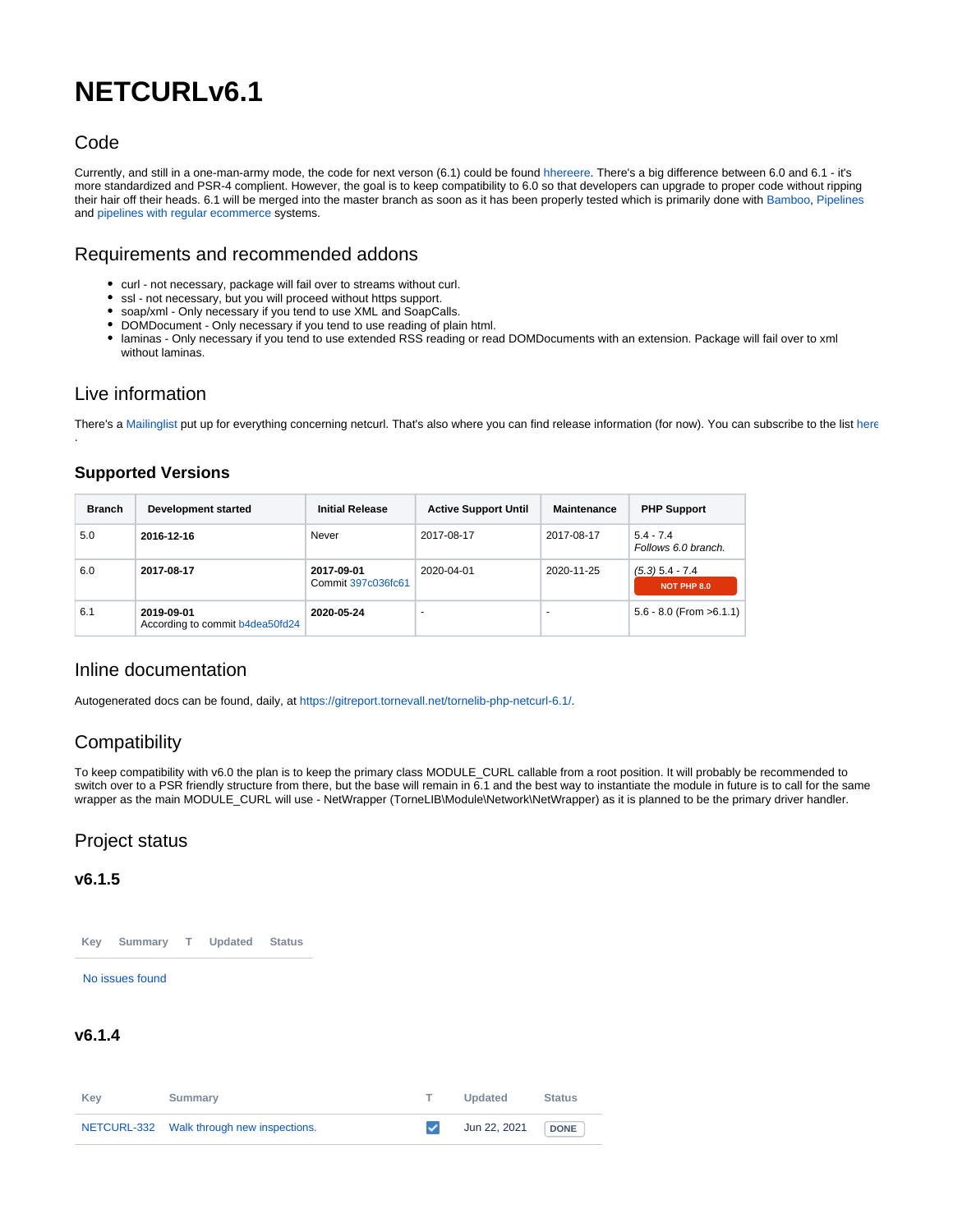# **NETCURLv6.1**

# Code

Currently, and still in a one-man-army mode, the code for next verson (6.1) could be found [h](https://bitbucket.tornevall.net/projects/LIB/repos/tornelib-php-netcurl/browse?at=refs%2Fheads%2Fdevelop%2F6.1)[here](https://bitbucket.tornevall.net/projects/LIB/repos/tornelib-php-netcurl/browse)[ere](https://bitbucket.tornevall.net/projects/LIB/repos/tornelib-php-netcurl/browse?at=refs%2Fheads%2Fdevelop%2F6.1). There's a big difference between 6.0 and 6.1 - it's more standardized and PSR-4 complient. However, the goal is to keep compatibility to 6.0 so that developers can upgrade to proper code without ripping their hair off their heads. 6.1 will be merged into the master branch as soon as it has been properly tested which is primarily done with [Bamboo,](https://bamboo.tornevall.net) [Pipelines](https://bitbucket.org/Tornevall/netcurl-fork/addon/pipelines/home) and [pipelines with regular ecommerce](https://bitbucket.org/resursbankplugins/resurs-ecomphp/addon/pipelines/home) systems.

#### Requirements and recommended addons

- curl not necessary, package will fail over to streams without curl.
- ssl not necessary, but you will proceed without https support.
- $\bullet$ soap/xml - Only necessary if you tend to use XML and SoapCalls.
- DOMDocument Only necessary if you tend to use reading of plain html.
- laminas Only necessary if you tend to use extended RSS reading or read DOMDocuments with an extension. Package will fail over to xml without laminas.

#### Live information

.

There's a [Mailinglist](https://lists.tornevall.net/pipermail/netcurl/) put up for everything concerning netcurl. That's also where you can find release information (for now). You can subscribe to the list [here](https://lists.tornevall.net/mailman/listinfo/netcurl)

#### **Supported Versions**

| <b>Branch</b> | <b>Development started</b>                    | <b>Initial Release</b>           | <b>Active Support Until</b> | <b>Maintenance</b>       | <b>PHP Support</b>                      |
|---------------|-----------------------------------------------|----------------------------------|-----------------------------|--------------------------|-----------------------------------------|
| 5.0           | 2016-12-16                                    | Never                            | 2017-08-17                  | 2017-08-17               | $5.4 - 7.4$<br>Follows 6.0 branch.      |
| 6.0           | 2017-08-17                                    | 2017-09-01<br>Commit 397c036fc61 | 2020-04-01                  | 2020-11-25               | $(5.3)$ 5.4 - 7.4<br><b>NOT PHP 8.0</b> |
| 6.1           | 2019-09-01<br>According to commit b4dea50fd24 | 2020-05-24                       |                             | $\overline{\phantom{a}}$ | $5.6 - 8.0$ (From $> 6.1.1$ )           |

#### Inline documentation

Autogenerated docs can be found, daily, at <https://gitreport.tornevall.net/tornelib-php-netcurl-6.1/>.

## **Compatibility**

To keep compatibility with v6.0 the plan is to keep the primary class MODULE\_CURL callable from a root position. It will probably be recommended to switch over to a PSR friendly structure from there, but the base will remain in 6.1 and the best way to instantiate the module in future is to call for the same wrapper as the main MODULE\_CURL will use - NetWrapper (TorneLIB\Module\Network\NetWrapper) as it is planned to be the primary driver handler.

## Project status

**v6.1.5**



[No issues found](https://tracker.tornevall.net/secure/IssueNavigator.jspa?reset=true&jqlQuery=project+%3D+netcurl+and+fixVersion+%3D+%27netcurl-6.1.0%27+and+status+IN+%28%22To+Do%22%2C+%22In+Progress%22%29+order+by+status+asc+++++++&src=confmacro)

#### **v6.1.4**

| Kev | <b>Summary</b>                            | Updated      | <b>Status</b> |
|-----|-------------------------------------------|--------------|---------------|
|     | NETCURL-332 Walk through new inspections. | Jun 22, 2021 | <b>DONE</b>   |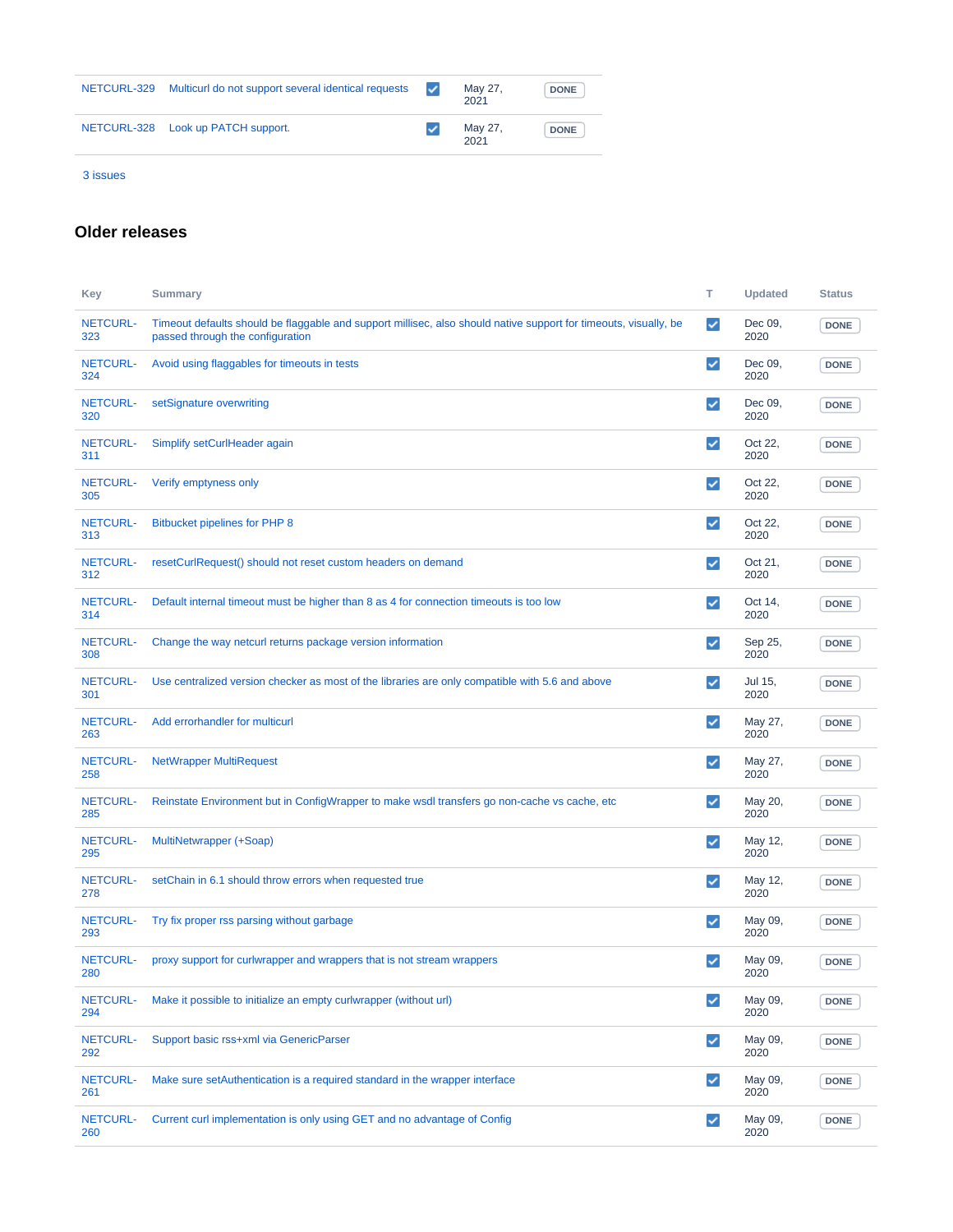| NETCURL-329 Multicurl do not support several identical requests | $\checkmark$ | May 27,<br>2021 | <b>DONE</b> |
|-----------------------------------------------------------------|--------------|-----------------|-------------|
| NETCURL-328 Look up PATCH support.                              |              | May 27,<br>2021 | <b>DONE</b> |

[3 issues](https://tracker.tornevall.net/secure/IssueNavigator.jspa?reset=true&jqlQuery=project+%3D+netcurl+and+fixVersion+%3D+netcurl-6.1.4+AND+status+not+in++%28%22To+Do%22%2C+%22In+Progress%22%29+ORDER+BY+type%2C+updatedDate++&src=confmacro)

#### **Older releases**

| Key                    | <b>Summary</b>                                                                                                                                       | T.           | <b>Updated</b>  | <b>Status</b> |
|------------------------|------------------------------------------------------------------------------------------------------------------------------------------------------|--------------|-----------------|---------------|
| <b>NETCURL-</b><br>323 | Timeout defaults should be flaggable and support millisec, also should native support for timeouts, visually, be<br>passed through the configuration | ✓            | Dec 09,<br>2020 | <b>DONE</b>   |
| <b>NETCURL-</b><br>324 | Avoid using flaggables for timeouts in tests                                                                                                         | ✓            | Dec 09,<br>2020 | <b>DONE</b>   |
| <b>NETCURL-</b><br>320 | setSignature overwriting                                                                                                                             | ✓            | Dec 09,<br>2020 | <b>DONE</b>   |
| <b>NETCURL-</b><br>311 | Simplify setCurlHeader again                                                                                                                         | ✓            | Oct 22,<br>2020 | <b>DONE</b>   |
| <b>NETCURL-</b><br>305 | Verify emptyness only                                                                                                                                | ✓            | Oct 22,<br>2020 | <b>DONE</b>   |
| <b>NETCURL-</b><br>313 | <b>Bitbucket pipelines for PHP 8</b>                                                                                                                 | ✓            | Oct 22,<br>2020 | <b>DONE</b>   |
| <b>NETCURL-</b><br>312 | resetCurlRequest() should not reset custom headers on demand                                                                                         | ✓            | Oct 21,<br>2020 | <b>DONE</b>   |
| <b>NETCURL-</b><br>314 | Default internal timeout must be higher than 8 as 4 for connection timeouts is too low                                                               | ✓            | Oct 14,<br>2020 | <b>DONE</b>   |
| <b>NETCURL-</b><br>308 | Change the way netcurl returns package version information                                                                                           | ✓            | Sep 25,<br>2020 | <b>DONE</b>   |
| <b>NETCURL-</b><br>301 | Use centralized version checker as most of the libraries are only compatible with 5.6 and above                                                      | ✓            | Jul 15,<br>2020 | <b>DONE</b>   |
| <b>NETCURL-</b><br>263 | Add errorhandler for multicurl                                                                                                                       | ✓            | May 27,<br>2020 | <b>DONE</b>   |
| <b>NETCURL-</b><br>258 | <b>NetWrapper MultiRequest</b>                                                                                                                       | ✓            | May 27,<br>2020 | <b>DONE</b>   |
| <b>NETCURL-</b><br>285 | Reinstate Environment but in ConfigWrapper to make wsdl transfers go non-cache vs cache, etc                                                         | $\checkmark$ | May 20,<br>2020 | <b>DONE</b>   |
| <b>NETCURL-</b><br>295 | MultiNetwrapper (+Soap)                                                                                                                              | ✓            | May 12,<br>2020 | <b>DONE</b>   |
| <b>NETCURL-</b><br>278 | setChain in 6.1 should throw errors when requested true                                                                                              | ✓            | May 12,<br>2020 | <b>DONE</b>   |
| <b>NETCURL-</b><br>293 | Try fix proper rss parsing without garbage                                                                                                           | $\checkmark$ | May 09,<br>2020 | <b>DONE</b>   |
| <b>NETCURL-</b><br>280 | proxy support for curlwrapper and wrappers that is not stream wrappers                                                                               | ✓            | May 09,<br>2020 | <b>DONE</b>   |
| <b>NETCURL-</b><br>294 | Make it possible to initialize an empty curlwrapper (without url)                                                                                    | $\checkmark$ | May 09,<br>2020 | <b>DONE</b>   |
| NETCURL-<br>292        | Support basic rss+xml via GenericParser                                                                                                              | ✓            | May 09,<br>2020 | <b>DONE</b>   |
| <b>NETCURL-</b><br>261 | Make sure setAuthentication is a required standard in the wrapper interface                                                                          | $\checkmark$ | May 09,<br>2020 | <b>DONE</b>   |
| <b>NETCURL-</b><br>260 | Current curl implementation is only using GET and no advantage of Config                                                                             | ✓            | May 09,<br>2020 | <b>DONE</b>   |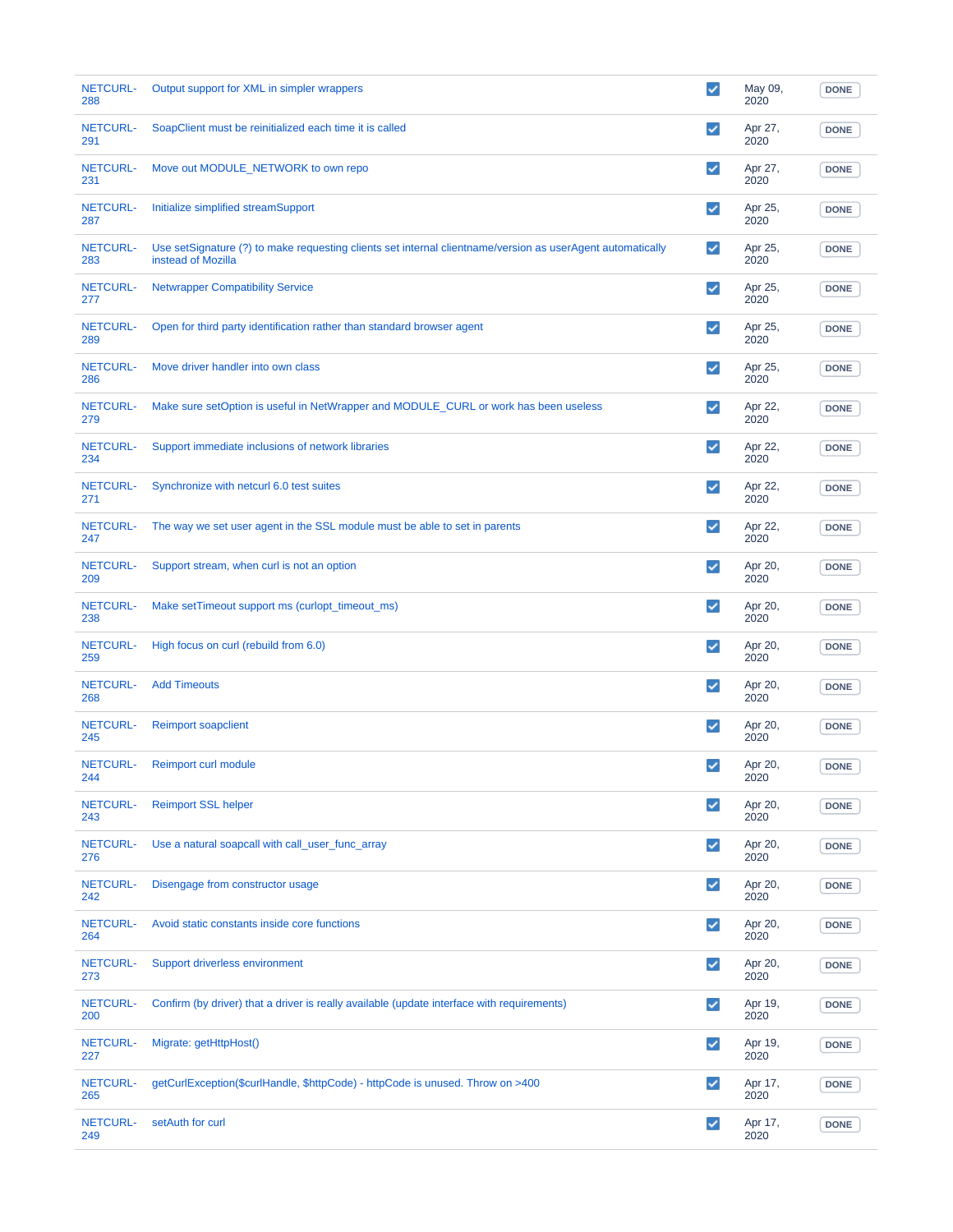| <b>NETCURL-</b><br>288 | Output support for XML in simpler wrappers                                                                                       | ✓            | May 09,<br>2020 | <b>DONE</b> |
|------------------------|----------------------------------------------------------------------------------------------------------------------------------|--------------|-----------------|-------------|
| <b>NETCURL-</b><br>291 | SoapClient must be reinitialized each time it is called                                                                          | ✓            | Apr 27,<br>2020 | <b>DONE</b> |
| <b>NETCURL-</b><br>231 | Move out MODULE_NETWORK to own repo                                                                                              | ✓            | Apr 27,<br>2020 | <b>DONE</b> |
| <b>NETCURL-</b><br>287 | Initialize simplified streamSupport                                                                                              | $\checkmark$ | Apr 25,<br>2020 | <b>DONE</b> |
| <b>NETCURL-</b><br>283 | Use setSignature (?) to make requesting clients set internal clientname/version as userAgent automatically<br>instead of Mozilla | $\checkmark$ | Apr 25,<br>2020 | <b>DONE</b> |
| <b>NETCURL-</b><br>277 | <b>Netwrapper Compatibility Service</b>                                                                                          | ✓            | Apr 25,<br>2020 | <b>DONE</b> |
| <b>NETCURL-</b><br>289 | Open for third party identification rather than standard browser agent                                                           | ✓            | Apr 25,<br>2020 | <b>DONE</b> |
| <b>NETCURL-</b><br>286 | Move driver handler into own class                                                                                               | ✓            | Apr 25,<br>2020 | <b>DONE</b> |
| <b>NETCURL-</b><br>279 | Make sure setOption is useful in NetWrapper and MODULE_CURL or work has been useless                                             | ✓            | Apr 22,<br>2020 | <b>DONE</b> |
| <b>NETCURL-</b><br>234 | Support immediate inclusions of network libraries                                                                                | ✓            | Apr 22,<br>2020 | <b>DONE</b> |
| <b>NETCURL-</b><br>271 | Synchronize with netcurl 6.0 test suites                                                                                         | $\checkmark$ | Apr 22,<br>2020 | <b>DONE</b> |
| <b>NETCURL-</b><br>247 | The way we set user agent in the SSL module must be able to set in parents                                                       | $\checkmark$ | Apr 22,<br>2020 | <b>DONE</b> |
| <b>NETCURL-</b><br>209 | Support stream, when curl is not an option                                                                                       | ✓            | Apr 20,<br>2020 | <b>DONE</b> |
| <b>NETCURL-</b><br>238 | Make setTimeout support ms (curlopt_timeout_ms)                                                                                  | ✓            | Apr 20,<br>2020 | <b>DONE</b> |
| <b>NETCURL-</b><br>259 | High focus on curl (rebuild from 6.0)                                                                                            | ✓            | Apr 20,<br>2020 | <b>DONE</b> |
| <b>NETCURL-</b><br>268 | <b>Add Timeouts</b>                                                                                                              | $\checkmark$ | Apr 20,<br>2020 | <b>DONE</b> |
| <b>NETCURL-</b><br>245 | <b>Reimport soapclient</b>                                                                                                       | $\checkmark$ | Apr 20,<br>2020 | <b>DONE</b> |
| <b>NETCURL-</b><br>244 | Reimport curl module                                                                                                             | ✓            | Apr 20,<br>2020 | <b>DONE</b> |
| <b>NETCURL-</b><br>243 | <b>Reimport SSL helper</b>                                                                                                       | ✓            | Apr 20,<br>2020 | <b>DONE</b> |
| <b>NETCURL-</b><br>276 | Use a natural soapcall with call_user_func_array                                                                                 | ✓            | Apr 20,<br>2020 | <b>DONE</b> |
| <b>NETCURL-</b><br>242 | Disengage from constructor usage                                                                                                 | ✓            | Apr 20,<br>2020 | <b>DONE</b> |
| <b>NETCURL-</b><br>264 | Avoid static constants inside core functions                                                                                     | ✓            | Apr 20,<br>2020 | <b>DONE</b> |
| <b>NETCURL-</b><br>273 | Support driverless environment                                                                                                   | $\checkmark$ | Apr 20,<br>2020 | <b>DONE</b> |
| <b>NETCURL-</b><br>200 | Confirm (by driver) that a driver is really available (update interface with requirements)                                       | $\checkmark$ | Apr 19,<br>2020 | <b>DONE</b> |
| <b>NETCURL-</b><br>227 | Migrate: getHttpHost()                                                                                                           | ✓            | Apr 19,<br>2020 | <b>DONE</b> |
| <b>NETCURL-</b><br>265 | getCurlException(\$curlHandle, \$httpCode) - httpCode is unused. Throw on >400                                                   | ✓            | Apr 17,<br>2020 | <b>DONE</b> |
| <b>NETCURL-</b><br>249 | setAuth for curl                                                                                                                 | ✓            | Apr 17,<br>2020 | <b>DONE</b> |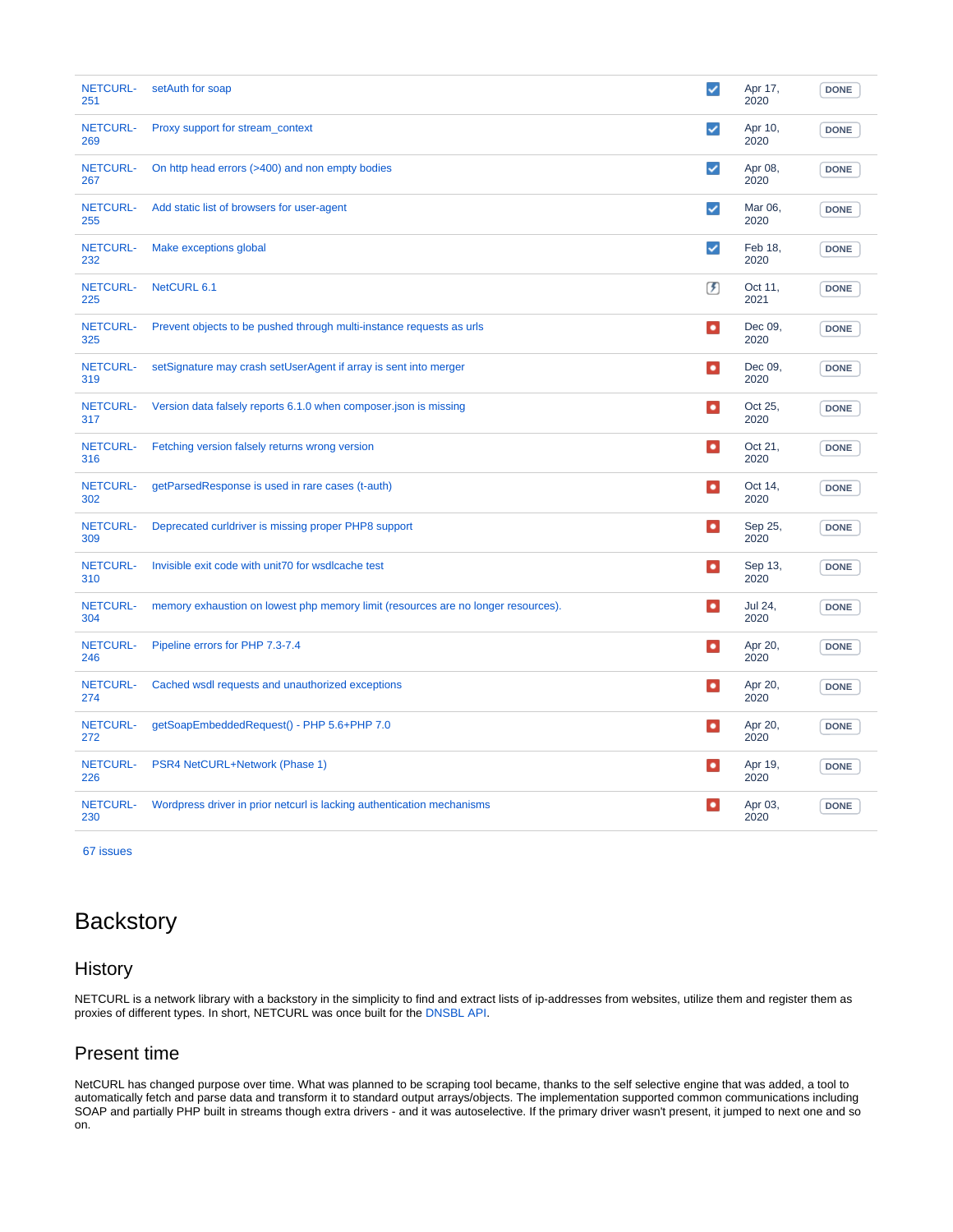| <b>NETCURL-</b><br>251 | setAuth for soap                                                                  | ✓         | Apr 17,<br>2020 | <b>DONE</b> |
|------------------------|-----------------------------------------------------------------------------------|-----------|-----------------|-------------|
| <b>NETCURL-</b><br>269 | Proxy support for stream_context                                                  | ✓         | Apr 10,<br>2020 | <b>DONE</b> |
| <b>NETCURL-</b><br>267 | On http head errors (>400) and non empty bodies                                   | ✓         | Apr 08,<br>2020 | <b>DONE</b> |
| <b>NETCURL-</b><br>255 | Add static list of browsers for user-agent                                        | ✓         | Mar 06,<br>2020 | <b>DONE</b> |
| <b>NETCURL-</b><br>232 | Make exceptions global                                                            | ✓         | Feb 18,<br>2020 | <b>DONE</b> |
| <b>NETCURL-</b><br>225 | <b>NetCURL 6.1</b>                                                                | ГЯ        | Oct 11,<br>2021 | <b>DONE</b> |
| <b>NETCURL-</b><br>325 | Prevent objects to be pushed through multi-instance requests as urls              | o         | Dec 09,<br>2020 | <b>DONE</b> |
| <b>NETCURL-</b><br>319 | setSignature may crash setUserAgent if array is sent into merger                  | ×         | Dec 09,<br>2020 | <b>DONE</b> |
| <b>NETCURL-</b><br>317 | Version data falsely reports 6.1.0 when composer json is missing                  | ×         | Oct 25,<br>2020 | <b>DONE</b> |
| <b>NETCURL-</b><br>316 | Fetching version falsely returns wrong version                                    | ×         | Oct 21,<br>2020 | <b>DONE</b> |
| <b>NETCURL-</b><br>302 | getParsedResponse is used in rare cases (t-auth)                                  | $\bullet$ | Oct 14,<br>2020 | <b>DONE</b> |
| <b>NETCURL-</b><br>309 | Deprecated curldriver is missing proper PHP8 support                              | ×         | Sep 25,<br>2020 | <b>DONE</b> |
| <b>NETCURL-</b><br>310 | Invisible exit code with unit70 for wsdlcache test                                | $\bullet$ | Sep 13,<br>2020 | <b>DONE</b> |
| <b>NETCURL-</b><br>304 | memory exhaustion on lowest php memory limit (resources are no longer resources). | $\bullet$ | Jul 24,<br>2020 | <b>DONE</b> |
| <b>NETCURL-</b><br>246 | Pipeline errors for PHP 7.3-7.4                                                   | ×         | Apr 20,<br>2020 | <b>DONE</b> |
| <b>NETCURL-</b><br>274 | Cached wsdl requests and unauthorized exceptions                                  | $\bullet$ | Apr 20,<br>2020 | <b>DONE</b> |
| <b>NETCURL-</b><br>272 | getSoapEmbeddedRequest() - PHP 5.6+PHP 7.0                                        | o         | Apr 20,<br>2020 | <b>DONE</b> |
| <b>NETCURL-</b><br>226 | PSR4 NetCURL+Network (Phase 1)                                                    | $\bullet$ | Apr 19,<br>2020 | <b>DONE</b> |
| <b>NETCURL-</b><br>230 | Wordpress driver in prior netcurl is lacking authentication mechanisms            | $\bullet$ | Apr 03,<br>2020 | <b>DONE</b> |

[67 issues](https://tracker.tornevall.net/secure/IssueNavigator.jspa?reset=true&jqlQuery=project+%3D+netcurl+and+fixVersion+IN+%28netcurl-6.1.0%2C+netcurl-6.1.1%2C+netcurl-6.1.2%2C+netcurl-6.1.3%29+AND+status+not+in++%28%22To+Do%22%2C+%22In+Progress%22%29+ORDER+BY+type%2C+updatedDate+++&src=confmacro)

# **Backstory**

# **History**

NETCURL is a network library with a backstory in the simplicity to find and extract lists of ip-addresses from websites, utilize them and register them as proxies of different types. In short, NETCURL was once built for the [DNSBL API.](https://docs.tornevall.net/display/TN/DNSBL+API)

#### Present time

NetCURL has changed purpose over time. What was planned to be scraping tool became, thanks to the self selective engine that was added, a tool to automatically fetch and parse data and transform it to standard output arrays/objects. The implementation supported common communications including SOAP and partially PHP built in streams though extra drivers - and it was autoselective. If the primary driver wasn't present, it jumped to next one and so on.